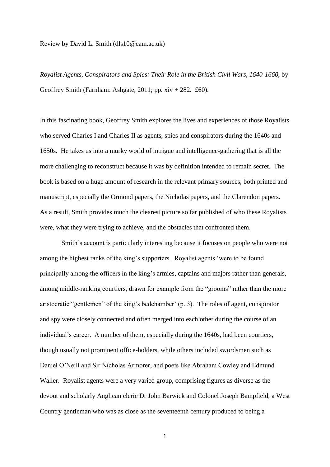## Review by David L. Smith (dls10@cam.ac.uk)

*Royalist Agents, Conspirators and Spies: Their Role in the British Civil Wars, 1640-1660*, by Geoffrey Smith (Farnham: Ashgate, 2011; pp.  $xiv + 282$ . £60).

In this fascinating book, Geoffrey Smith explores the lives and experiences of those Royalists who served Charles I and Charles II as agents, spies and conspirators during the 1640s and 1650s. He takes us into a murky world of intrigue and intelligence-gathering that is all the more challenging to reconstruct because it was by definition intended to remain secret. The book is based on a huge amount of research in the relevant primary sources, both printed and manuscript, especially the Ormond papers, the Nicholas papers, and the Clarendon papers. As a result, Smith provides much the clearest picture so far published of who these Royalists were, what they were trying to achieve, and the obstacles that confronted them.

Smith's account is particularly interesting because it focuses on people who were not among the highest ranks of the king's supporters. Royalist agents 'were to be found principally among the officers in the king's armies, captains and majors rather than generals, among middle-ranking courtiers, drawn for example from the "grooms" rather than the more aristocratic "gentlemen" of the king's bedchamber' (p. 3). The roles of agent, conspirator and spy were closely connected and often merged into each other during the course of an individual's career. A number of them, especially during the 1640s, had been courtiers, though usually not prominent office-holders, while others included swordsmen such as Daniel O'Neill and Sir Nicholas Armorer, and poets like Abraham Cowley and Edmund Waller. Royalist agents were a very varied group, comprising figures as diverse as the devout and scholarly Anglican cleric Dr John Barwick and Colonel Joseph Bampfield, a West Country gentleman who was as close as the seventeenth century produced to being a

1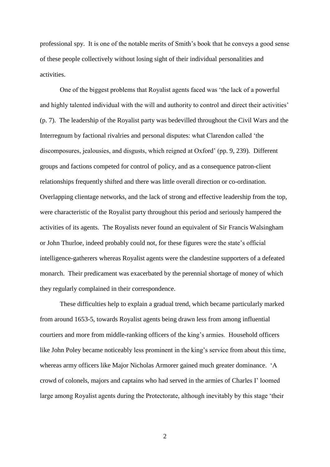professional spy. It is one of the notable merits of Smith's book that he conveys a good sense of these people collectively without losing sight of their individual personalities and activities.

One of the biggest problems that Royalist agents faced was 'the lack of a powerful and highly talented individual with the will and authority to control and direct their activities' (p. 7). The leadership of the Royalist party was bedevilled throughout the Civil Wars and the Interregnum by factional rivalries and personal disputes: what Clarendon called 'the discomposures, jealousies, and disgusts, which reigned at Oxford' (pp. 9, 239). Different groups and factions competed for control of policy, and as a consequence patron-client relationships frequently shifted and there was little overall direction or co-ordination. Overlapping clientage networks, and the lack of strong and effective leadership from the top, were characteristic of the Royalist party throughout this period and seriously hampered the activities of its agents. The Royalists never found an equivalent of Sir Francis Walsingham or John Thurloe, indeed probably could not, for these figures were the state's official intelligence-gatherers whereas Royalist agents were the clandestine supporters of a defeated monarch. Their predicament was exacerbated by the perennial shortage of money of which they regularly complained in their correspondence.

These difficulties help to explain a gradual trend, which became particularly marked from around 1653-5, towards Royalist agents being drawn less from among influential courtiers and more from middle-ranking officers of the king's armies. Household officers like John Poley became noticeably less prominent in the king's service from about this time, whereas army officers like Major Nicholas Armorer gained much greater dominance. 'A crowd of colonels, majors and captains who had served in the armies of Charles I' loomed large among Royalist agents during the Protectorate, although inevitably by this stage 'their

2